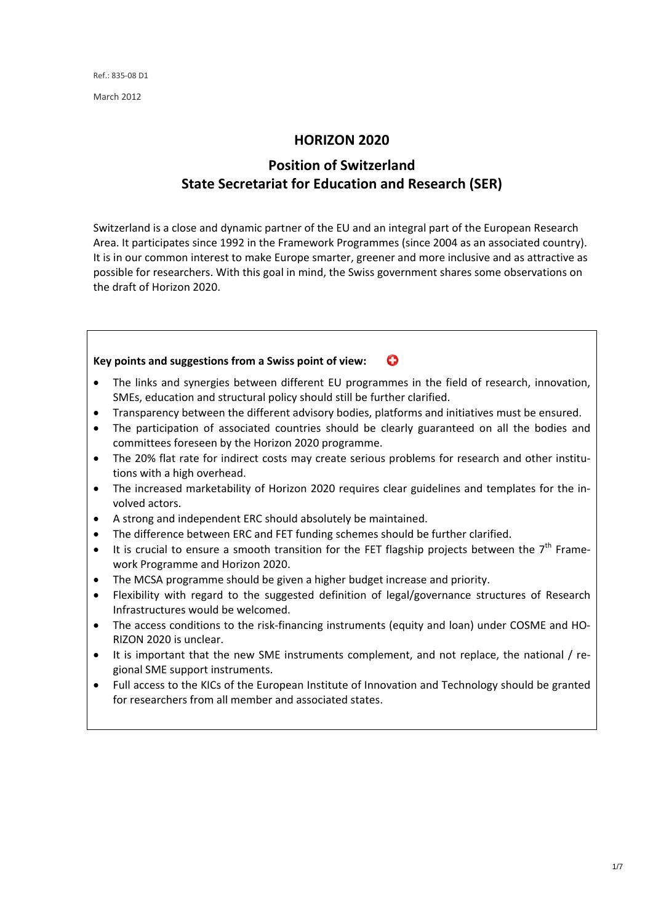March 2012

#### **HORIZON 2020**

# **Position of Switzerland State Secretariat for Education and Research (SER)**

Switzerland is a close and dynamic partner of the EU and an integral part of the European Research Area. It participates since 1992 in the Framework Programmes (since 2004 as an associated country). It is in our common interest to make Europe smarter, greener and more inclusive and as attractive as possible for researchers. With this goal in mind, the Swiss government shares some observations on the draft of Horizon 2020.



- The access conditions to the risk-financing instruments (equity and loan) under COSME and HO-RIZON 2020 is unclear.
- It is important that the new SME instruments complement, and not replace, the national / regional SME support instruments.
- Full access to the KICs of the European Institute of Innovation and Technology should be granted for researchers from all member and associated states.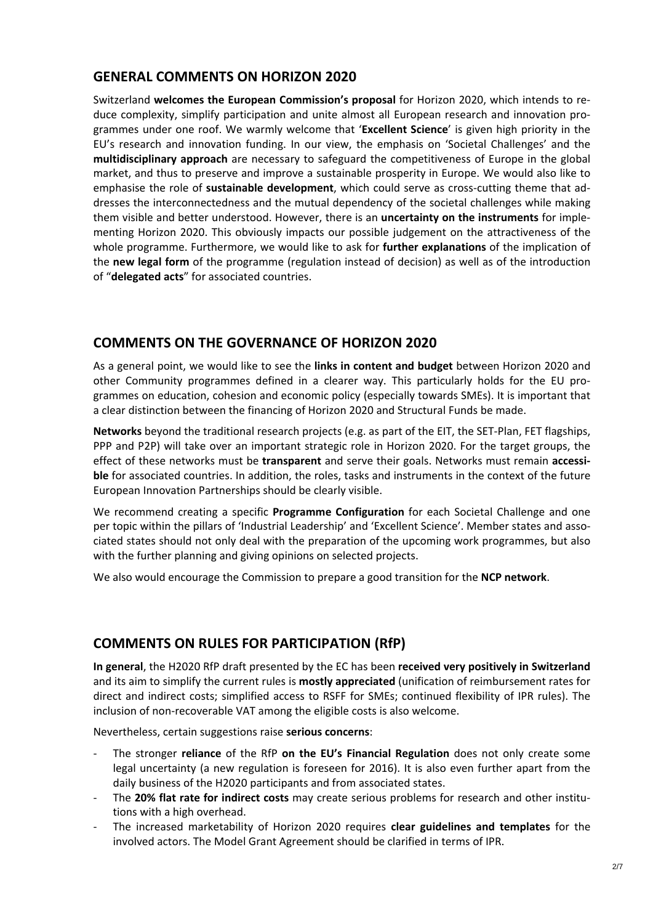## **GENERAL COMMENTS ON HORIZON 2020**

Switzerland **welcomes the European Commission's proposal** for Horizon 2020, which intends to re‐ duce complexity, simplify participation and unite almost all European research and innovation pro‐ grammes under one roof. We warmly welcome that '**Excellent Science**' is given high priority in the EU's research and innovation funding. In our view, the emphasis on 'Societal Challenges' and the **multidisciplinary approach** are necessary to safeguard the competitiveness of Europe in the global market, and thus to preserve and improve a sustainable prosperity in Europe. We would also like to emphasise the role of **sustainable development**, which could serve as cross-cutting theme that addresses the interconnectedness and the mutual dependency of the societal challenges while making them visible and better understood. However, there is an **uncertainty on the instruments** for imple‐ menting Horizon 2020. This obviously impacts our possible judgement on the attractiveness of the whole programme. Furthermore, we would like to ask for **further explanations** of the implication of the **new legal form** of the programme (regulation instead of decision) as well as of the introduction of "**delegated acts**" for associated countries.

## **COMMENTS ON THE GOVERNANCE OF HORIZON 2020**

As a general point, we would like to see the **links in content and budget** between Horizon 2020 and other Community programmes defined in a clearer way. This particularly holds for the EU pro‐ grammes on education, cohesion and economic policy (especially towards SMEs). It is important that a clear distinction between the financing of Horizon 2020 and Structural Funds be made.

**Networks** beyond the traditional research projects (e.g. as part of the EIT, the SET‐Plan, FET flagships, PPP and P2P) will take over an important strategic role in Horizon 2020. For the target groups, the effect of these networks must be **transparent** and serve their goals. Networks must remain **accessi‐ ble** for associated countries. In addition, the roles, tasks and instruments in the context of the future European Innovation Partnerships should be clearly visible.

We recommend creating a specific **Programme Configuration** for each Societal Challenge and one per topic within the pillars of 'Industrial Leadership' and 'Excellent Science'. Member states and associated states should not only deal with the preparation of the upcoming work programmes, but also with the further planning and giving opinions on selected projects.

We also would encourage the Commission to prepare a good transition for the **NCP network**.

# **COMMENTS ON RULES FOR PARTICIPATION (RfP)**

**In general**, the H2020 RfP draft presented by the EC has been **received very positively in Switzerland** and its aim to simplify the current rules is **mostly appreciated** (unification of reimbursement rates for direct and indirect costs; simplified access to RSFF for SMEs; continued flexibility of IPR rules). The inclusion of non‐recoverable VAT among the eligible costs is also welcome.

Nevertheless, certain suggestions raise **serious concerns**:

- ‐ The stronger **reliance** of the RfP **on the EU's Financial Regulation** does not only create some legal uncertainty (a new regulation is foreseen for 2016). It is also even further apart from the daily business of the H2020 participants and from associated states.
- ‐ The **20% flat rate for indirect costs** may create serious problems for research and other institu‐ tions with a high overhead.
- ‐ The increased marketability of Horizon 2020 requires **clear guidelines and templates** for the involved actors. The Model Grant Agreement should be clarified in terms of IPR.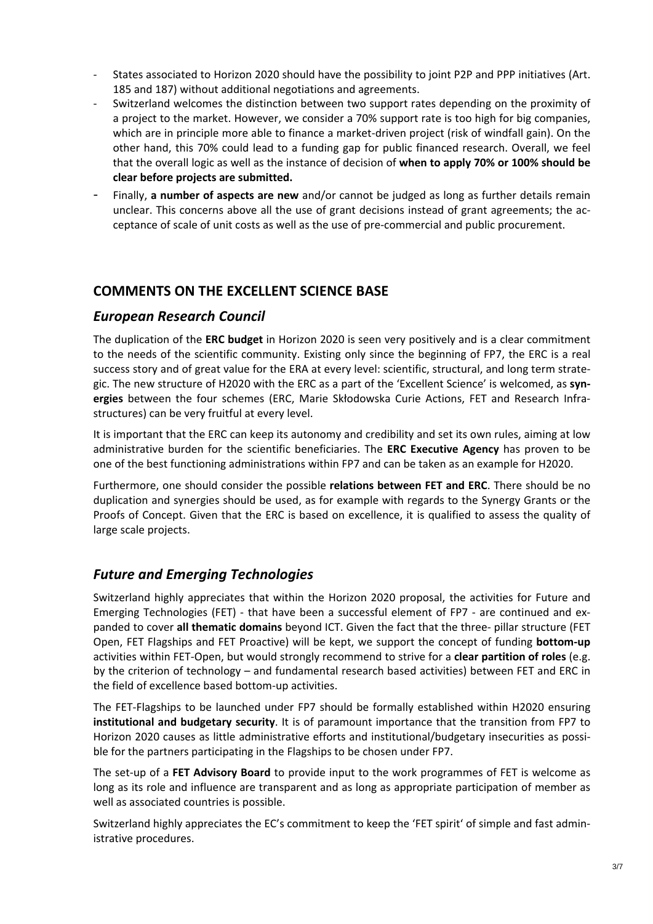- States associated to Horizon 2020 should have the possibility to joint P2P and PPP initiatives (Art. 185 and 187) without additional negotiations and agreements.
- Switzerland welcomes the distinction between two support rates depending on the proximity of a project to the market. However, we consider a 70% support rate is too high for big companies, which are in principle more able to finance a market-driven project (risk of windfall gain). On the other hand, this 70% could lead to a funding gap for public financed research. Overall, we feel that the overall logic as well as the instance of decision of **when to apply 70% or 100% should be clear before projects are submitted.**
- ‐ Finally, **a number of aspects are new** and/or cannot be judged as long as further details remain unclear. This concerns above all the use of grant decisions instead of grant agreements; the acceptance of scale of unit costs as well as the use of pre‐commercial and public procurement.

## **COMMENTS ON THE EXCELLENT SCIENCE BASE**

## *European Research Council*

The duplication of the **ERC budget** in Horizon 2020 is seen very positively and is a clear commitment to the needs of the scientific community. Existing only since the beginning of FP7, the ERC is a real success story and of great value for the ERA at every level: scientific, structural, and long term strate‐ gic. The new structure of H2020 with the ERC as a part of the 'Excellent Science' is welcomed, as **syn‐ ergies** between the four schemes (ERC, Marie Skłodowska Curie Actions, FET and Research Infra‐ structures) can be very fruitful at every level.

It is important that the ERC can keep its autonomy and credibility and set its own rules, aiming at low administrative burden for the scientific beneficiaries. The **ERC Executive Agency** has proven to be one of the best functioning administrations within FP7 and can be taken as an example for H2020.

Furthermore, one should consider the possible **relations between FET and ERC**. There should be no duplication and synergies should be used, as for example with regards to the Synergy Grants or the Proofs of Concept. Given that the ERC is based on excellence, it is qualified to assess the quality of large scale projects.

# *Future and Emerging Technologies*

Switzerland highly appreciates that within the Horizon 2020 proposal, the activities for Future and Emerging Technologies (FET) - that have been a successful element of FP7 - are continued and expanded to cover **all thematic domains** beyond ICT. Given the fact that the three‐ pillar structure (FET Open, FET Flagships and FET Proactive) will be kept, we support the concept of funding **bottom‐up** activities within FET‐Open, but would strongly recommend to strive for a **clear partition of roles** (e.g. by the criterion of technology – and fundamental research based activities) between FET and ERC in the field of excellence based bottom‐up activities.

The FET‐Flagships to be launched under FP7 should be formally established within H2020 ensuring **institutional and budgetary security**. It is of paramount importance that the transition from FP7 to Horizon 2020 causes as little administrative efforts and institutional/budgetary insecurities as possible for the partners participating in the Flagships to be chosen under FP7.

The set‐up of a **FET Advisory Board** to provide input to the work programmes of FET is welcome as long as its role and influence are transparent and as long as appropriate participation of member as well as associated countries is possible.

Switzerland highly appreciates the EC's commitment to keep the 'FET spirit' of simple and fast admin‐ istrative procedures.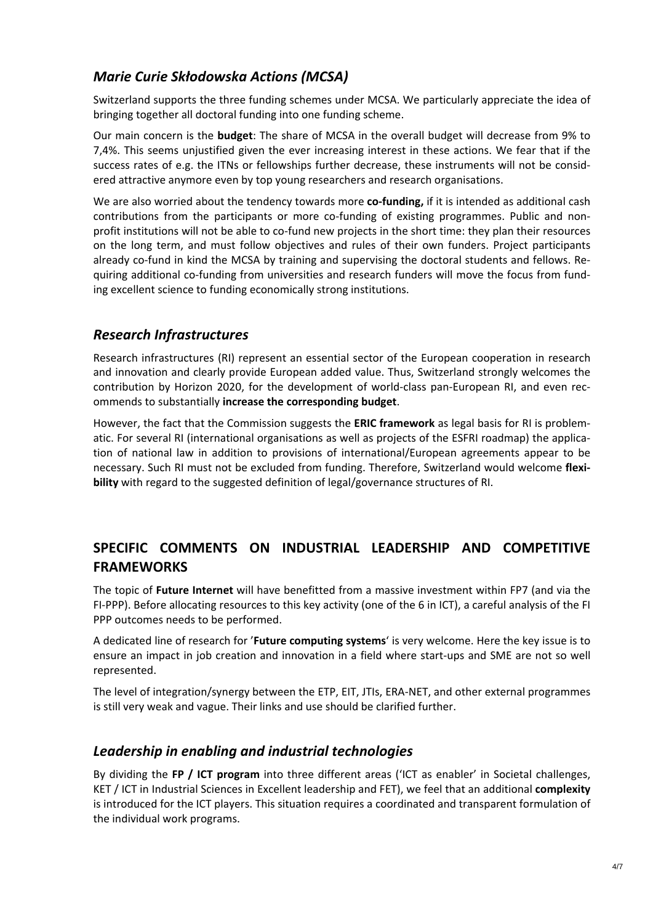# *Marie Curie Skłodowska Actions (MCSA)*

Switzerland supports the three funding schemes under MCSA. We particularly appreciate the idea of bringing together all doctoral funding into one funding scheme.

Our main concern is the **budget**: The share of MCSA in the overall budget will decrease from 9% to 7,4%. This seems unjustified given the ever increasing interest in these actions. We fear that if the success rates of e.g. the ITNs or fellowships further decrease, these instruments will not be consid‐ ered attractive anymore even by top young researchers and research organisations.

We are also worried about the tendency towards more co-funding, if it is intended as additional cash contributions from the participants or more co-funding of existing programmes. Public and nonprofit institutions will not be able to co-fund new projects in the short time: they plan their resources on the long term, and must follow objectives and rules of their own funders. Project participants already co-fund in kind the MCSA by training and supervising the doctoral students and fellows. Requiring additional co-funding from universities and research funders will move the focus from funding excellent science to funding economically strong institutions.

## *Research Infrastructures*

Research infrastructures (RI) represent an essential sector of the European cooperation in research and innovation and clearly provide European added value. Thus, Switzerland strongly welcomes the contribution by Horizon 2020, for the development of world-class pan-European RI, and even recommends to substantially **increase the corresponding budget**.

However, the fact that the Commission suggests the **ERIC framework** as legal basis for RI is problem‐ atic. For several RI (international organisations as well as projects of the ESFRI roadmap) the application of national law in addition to provisions of international/European agreements appear to be necessary. Such RI must not be excluded from funding. Therefore, Switzerland would welcome **flexi‐ bility** with regard to the suggested definition of legal/governance structures of RI.

# **SPECIFIC COMMENTS ON INDUSTRIAL LEADERSHIP AND COMPETITIVE FRAMEWORKS**

The topic of **Future Internet** will have benefitted from a massive investment within FP7 (and via the FI‐PPP). Before allocating resources to this key activity (one of the 6 in ICT), a careful analysis of the FI PPP outcomes needs to be performed.

A dedicated line of research for '**Future computing systems**' is very welcome. Here the key issue is to ensure an impact in job creation and innovation in a field where start-ups and SME are not so well represented.

The level of integration/synergy between the ETP, EIT, JTIs, ERA‐NET, and other external programmes is still very weak and vague. Their links and use should be clarified further.

## *Leadership in enabling and industrial technologies*

By dividing the **FP / ICT program** into three different areas ('ICT as enabler' in Societal challenges, KET / ICT in Industrial Sciences in Excellent leadership and FET), we feel that an additional **complexity** is introduced for the ICT players. This situation requires a coordinated and transparent formulation of the individual work programs.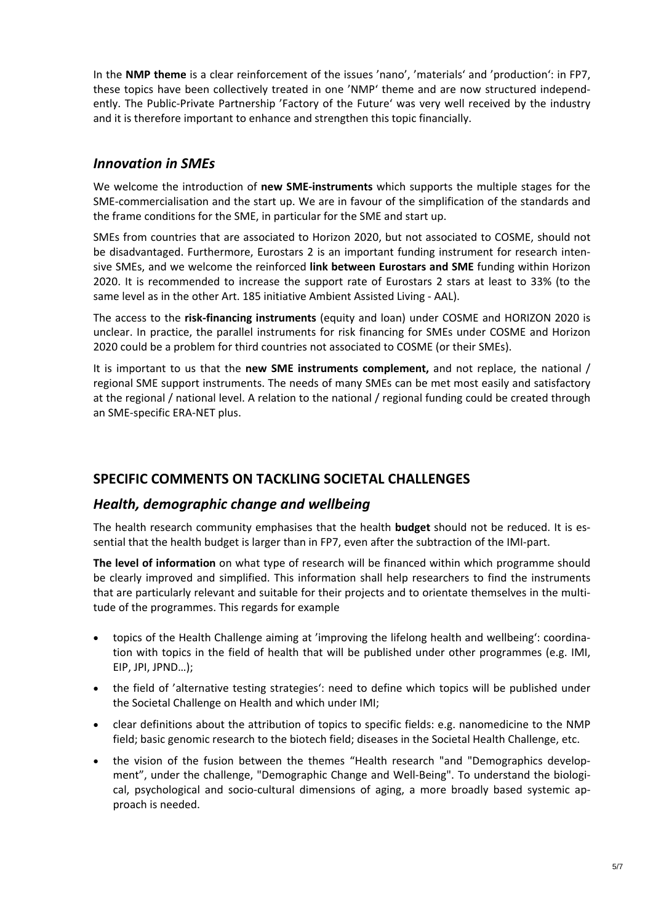In the **NMP theme** is a clear reinforcement of the issues 'nano', 'materials' and 'production': in FP7, these topics have been collectively treated in one 'NMP' theme and are now structured independ‐ ently. The Public‐Private Partnership 'Factory of the Future' was very well received by the industry and it is therefore important to enhance and strengthen this topic financially.

#### *Innovation in SMEs*

We welcome the introduction of **new SME‐instruments** which supports the multiple stages for the SME-commercialisation and the start up. We are in favour of the simplification of the standards and the frame conditions for the SME, in particular for the SME and start up.

SMEs from countries that are associated to Horizon 2020, but not associated to COSME, should not be disadvantaged. Furthermore, Eurostars 2 is an important funding instrument for research intensive SMEs, and we welcome the reinforced **link between Eurostars and SME** funding within Horizon 2020. It is recommended to increase the support rate of Eurostars 2 stars at least to 33% (to the same level as in the other Art. 185 initiative Ambient Assisted Living ‐ AAL).

The access to the **risk‐financing instruments** (equity and loan) under COSME and HORIZON 2020 is unclear. In practice, the parallel instruments for risk financing for SMEs under COSME and Horizon 2020 could be a problem for third countries not associated to COSME (or their SMEs).

It is important to us that the **new SME instruments complement,** and not replace, the national / regional SME support instruments. The needs of many SMEs can be met most easily and satisfactory at the regional / national level. A relation to the national / regional funding could be created through an SME‐specific ERA‐NET plus.

## **SPECIFIC COMMENTS ON TACKLING SOCIETAL CHALLENGES**

## *Health, demographic change and wellbeing*

The health research community emphasises that the health **budget** should not be reduced. It is es‐ sential that the health budget is larger than in FP7, even after the subtraction of the IMI‐part.

**The level of information** on what type of research will be financed within which programme should be clearly improved and simplified. This information shall help researchers to find the instruments that are particularly relevant and suitable for their projects and to orientate themselves in the multi‐ tude of the programmes. This regards for example

- topics of the Health Challenge aiming at 'improving the lifelong health and wellbeing': coordina‐ tion with topics in the field of health that will be published under other programmes (e.g. IMI, EIP, JPI, JPND…);
- the field of 'alternative testing strategies': need to define which topics will be published under the Societal Challenge on Health and which under IMI;
- clear definitions about the attribution of topics to specific fields: e.g. nanomedicine to the NMP field; basic genomic research to the biotech field; diseases in the Societal Health Challenge, etc.
- the vision of the fusion between the themes "Health research "and "Demographics develop‐ ment", under the challenge, "Demographic Change and Well-Being". To understand the biological, psychological and socio-cultural dimensions of aging, a more broadly based systemic approach is needed.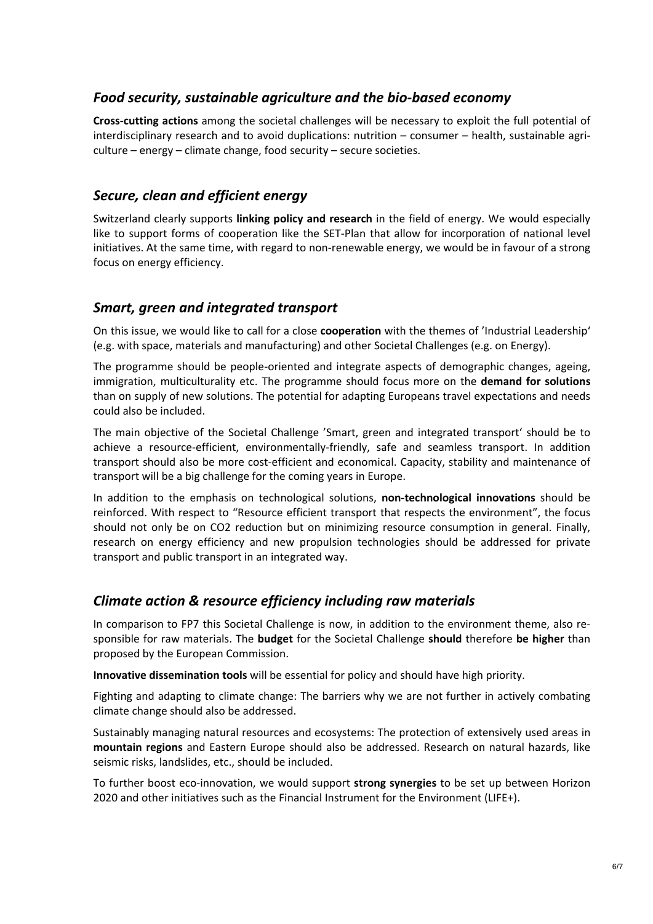## *Food security, sustainable agriculture and the bio‐based economy*

**Cross‐cutting actions** among the societal challenges will be necessary to exploit the full potential of interdisciplinary research and to avoid duplications: nutrition – consumer – health, sustainable agriculture – energy – climate change, food security – secure societies.

#### *Secure, clean and efficient energy*

Switzerland clearly supports **linking policy and research** in the field of energy. We would especially like to support forms of cooperation like the SET-Plan that allow for incorporation of national level initiatives. At the same time, with regard to non-renewable energy, we would be in favour of a strong focus on energy efficiency.

#### *Smart, green and integrated transport*

On this issue, we would like to call for a close **cooperation** with the themes of 'Industrial Leadership' (e.g. with space, materials and manufacturing) and other Societal Challenges (e.g. on Energy).

The programme should be people-oriented and integrate aspects of demographic changes, ageing, immigration, multiculturality etc. The programme should focus more on the **demand for solutions** than on supply of new solutions. The potential for adapting Europeans travel expectations and needs could also be included.

The main objective of the Societal Challenge 'Smart, green and integrated transport' should be to achieve a resource‐efficient, environmentally‐friendly, safe and seamless transport. In addition transport should also be more cost-efficient and economical. Capacity, stability and maintenance of transport will be a big challenge for the coming years in Europe.

In addition to the emphasis on technological solutions, **non‐technological innovations** should be reinforced. With respect to "Resource efficient transport that respects the environment", the focus should not only be on CO2 reduction but on minimizing resource consumption in general. Finally, research on energy efficiency and new propulsion technologies should be addressed for private transport and public transport in an integrated way.

#### *Climate action & resource efficiency including raw materials*

In comparison to FP7 this Societal Challenge is now, in addition to the environment theme, also re‐ sponsible for raw materials. The **budget** for the Societal Challenge **should** therefore **be higher** than proposed by the European Commission.

**Innovative dissemination tools** will be essential for policy and should have high priority.

Fighting and adapting to climate change: The barriers why we are not further in actively combating climate change should also be addressed.

Sustainably managing natural resources and ecosystems: The protection of extensively used areas in **mountain regions** and Eastern Europe should also be addressed. Research on natural hazards, like seismic risks, landslides, etc., should be included.

To further boost eco‐innovation, we would support **strong synergies** to be set up between Horizon 2020 and other initiatives such as the Financial Instrument for the Environment (LIFE+).